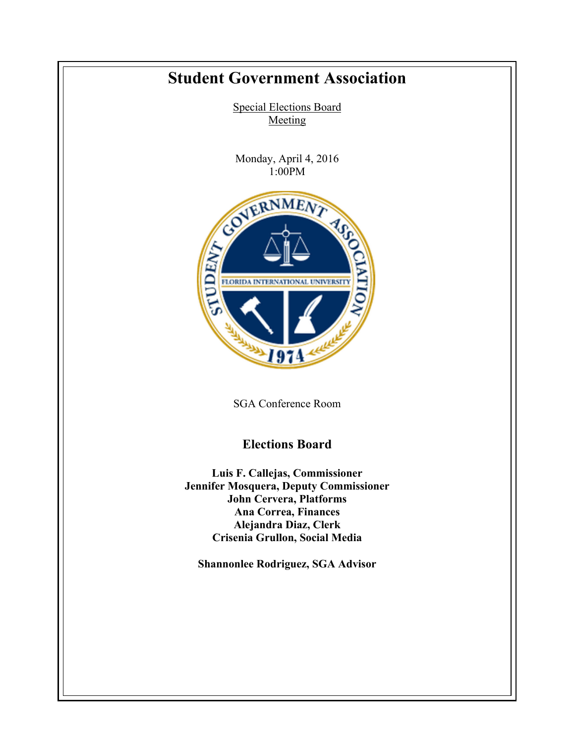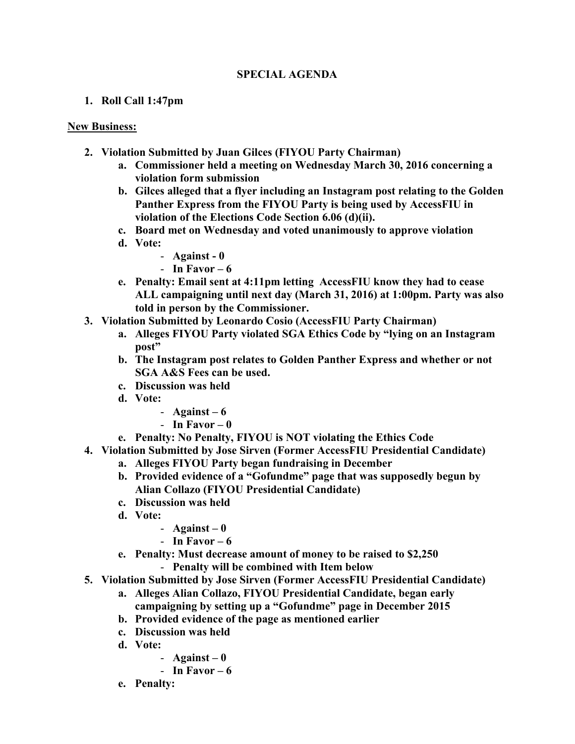## **SPECIAL AGENDA**

## **1. Roll Call 1:47pm**

## **New Business:**

- **2. Violation Submitted by Juan Gilces (FIYOU Party Chairman)**
	- **a. Commissioner held a meeting on Wednesday March 30, 2016 concerning a violation form submission**
	- **b. Gilces alleged that a flyer including an Instagram post relating to the Golden Panther Express from the FIYOU Party is being used by AccessFIU in violation of the Elections Code Section 6.06 (d)(ii).**
	- **c. Board met on Wednesday and voted unanimously to approve violation**
	- **d. Vote:**
		- **Against - 0**
		- **In Favor – 6**
	- **e. Penalty: Email sent at 4:11pm letting AccessFIU know they had to cease ALL campaigning until next day (March 31, 2016) at 1:00pm. Party was also told in person by the Commissioner.**
- **3. Violation Submitted by Leonardo Cosio (AccessFIU Party Chairman)**
	- **a. Alleges FIYOU Party violated SGA Ethics Code by "lying on an Instagram post"**
	- **b. The Instagram post relates to Golden Panther Express and whether or not SGA A&S Fees can be used.**
	- **c. Discussion was held**
	- **d. Vote:**
		- **Against – 6**
		- **In Favor – 0**
	- **e. Penalty: No Penalty, FIYOU is NOT violating the Ethics Code**
- **4. Violation Submitted by Jose Sirven (Former AccessFIU Presidential Candidate)**
	- **a. Alleges FIYOU Party began fundraising in December**
	- **b. Provided evidence of a "Gofundme" page that was supposedly begun by Alian Collazo (FIYOU Presidential Candidate)**
	- **c. Discussion was held**
	- **d. Vote:**
		- $-$  **Against**  $-$  **0**
		- **In Favor – 6**
	- **e. Penalty: Must decrease amount of money to be raised to \$2,250** 
		- **Penalty will be combined with Item below**
- **5. Violation Submitted by Jose Sirven (Former AccessFIU Presidential Candidate)**
	- **a. Alleges Alian Collazo, FIYOU Presidential Candidate, began early campaigning by setting up a "Gofundme" page in December 2015**
	- **b. Provided evidence of the page as mentioned earlier**
	- **c. Discussion was held**
	- **d. Vote:**
		- **Against – 0**
		- **In Favor – 6**
	- **e. Penalty:**